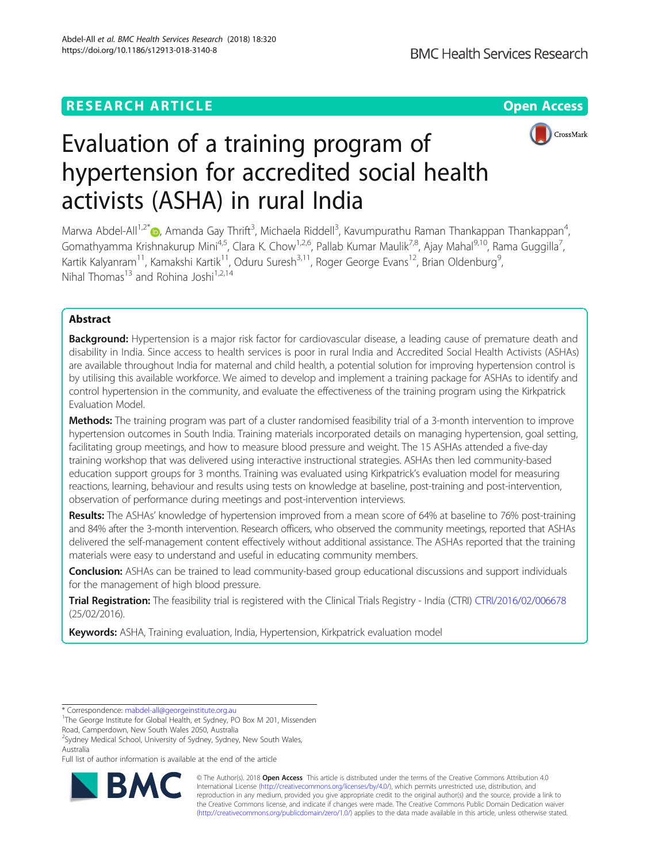# **RESEARCH ARTICLE Example 2018 12:30 THE OPEN Access**



# Evaluation of a training program of hypertension for accredited social health activists (ASHA) in rural India

Marwa Abdel-All<sup>1[,](http://orcid.org/0000-0001-8103-1498)2\*</sup>®, Amanda Gay Thrift<sup>3</sup>, Michaela Riddell<sup>3</sup>, Kavumpurathu Raman Thankappan Thankappan<sup>4</sup> , Gomathyamma Krishnakurup Mini<sup>4,5</sup>, Clara K. Chow<sup>1,2,6</sup>, Pallab Kumar Maulik<sup>7,8</sup>, Ajay Mahal<sup>9,10</sup>, Rama Guggilla<sup>7</sup>, , Kartik Kalyanram<sup>11</sup>, Kamakshi Kartik<sup>11</sup>, Oduru Suresh<sup>3,11</sup>, Roger George Evans<sup>12</sup>, Brian Oldenburg<sup>9</sup>, , Nihal Thomas<sup>13</sup> and Rohina Joshi<sup>1,2,14</sup>

## Abstract

Background: Hypertension is a major risk factor for cardiovascular disease, a leading cause of premature death and disability in India. Since access to health services is poor in rural India and Accredited Social Health Activists (ASHAs) are available throughout India for maternal and child health, a potential solution for improving hypertension control is by utilising this available workforce. We aimed to develop and implement a training package for ASHAs to identify and control hypertension in the community, and evaluate the effectiveness of the training program using the Kirkpatrick Evaluation Model.

Methods: The training program was part of a cluster randomised feasibility trial of a 3-month intervention to improve hypertension outcomes in South India. Training materials incorporated details on managing hypertension, goal setting, facilitating group meetings, and how to measure blood pressure and weight. The 15 ASHAs attended a five-day training workshop that was delivered using interactive instructional strategies. ASHAs then led community-based education support groups for 3 months. Training was evaluated using Kirkpatrick's evaluation model for measuring reactions, learning, behaviour and results using tests on knowledge at baseline, post-training and post-intervention, observation of performance during meetings and post-intervention interviews.

Results: The ASHAs' knowledge of hypertension improved from a mean score of 64% at baseline to 76% post-training and 84% after the 3-month intervention. Research officers, who observed the community meetings, reported that ASHAs delivered the self-management content effectively without additional assistance. The ASHAs reported that the training materials were easy to understand and useful in educating community members.

**Conclusion:** ASHAs can be trained to lead community-based group educational discussions and support individuals for the management of high blood pressure.

Trial Registration: The feasibility trial is registered with the Clinical Trials Registry - India (CTRI) [CTRI/2016/02/006678](http://ctri.nic.in/Clinicaltrials/pdf_generate.php?trialid=13013&EncHid=&modid=&compid=%27,%2713013det%27) (25/02/2016).

Keywords: ASHA, Training evaluation, India, Hypertension, Kirkpatrick evaluation model

Full list of author information is available at the end of the article



© The Author(s). 2018 Open Access This article is distributed under the terms of the Creative Commons Attribution 4.0 International License [\(http://creativecommons.org/licenses/by/4.0/](http://creativecommons.org/licenses/by/4.0/)), which permits unrestricted use, distribution, and reproduction in any medium, provided you give appropriate credit to the original author(s) and the source, provide a link to the Creative Commons license, and indicate if changes were made. The Creative Commons Public Domain Dedication waiver [\(http://creativecommons.org/publicdomain/zero/1.0/](http://creativecommons.org/publicdomain/zero/1.0/)) applies to the data made available in this article, unless otherwise stated.

<sup>\*</sup> Correspondence: [mabdel-all@georgeinstitute.org.au](mailto:mabdel-all@georgeinstitute.org.au) <sup>1</sup>

<sup>&</sup>lt;sup>1</sup>The George Institute for Global Health, et Sydney, PO Box M 201, Missenden Road, Camperdown, New South Wales 2050, Australia

<sup>&</sup>lt;sup>2</sup>Sydney Medical School, University of Sydney, Sydney, New South Wales,

Australia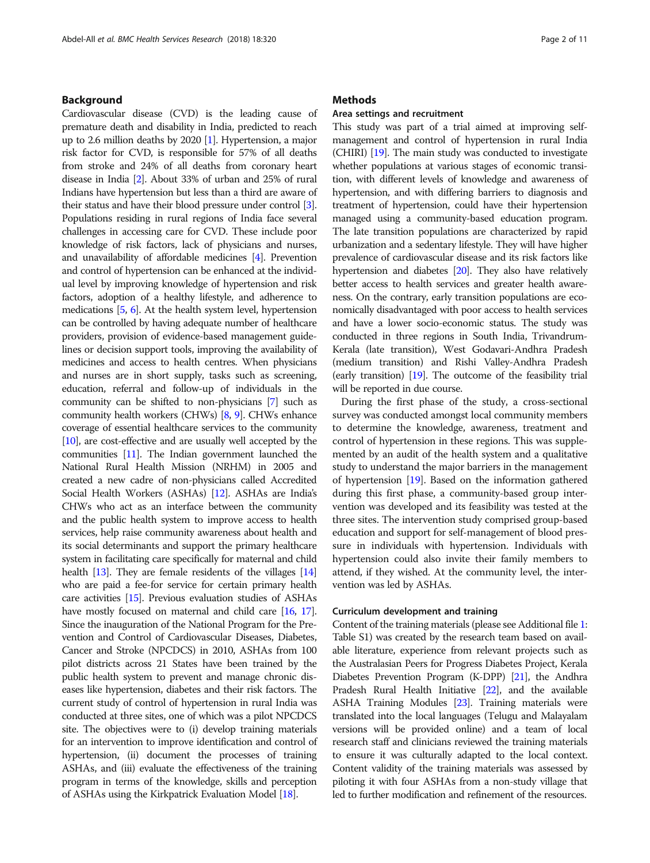## Background

Cardiovascular disease (CVD) is the leading cause of premature death and disability in India, predicted to reach up to 2.6 million deaths by 2020 [\[1\]](#page-9-0). Hypertension, a major risk factor for CVD, is responsible for 57% of all deaths from stroke and 24% of all deaths from coronary heart disease in India [[2\]](#page-9-0). About 33% of urban and 25% of rural Indians have hypertension but less than a third are aware of their status and have their blood pressure under control [[3](#page-9-0)]. Populations residing in rural regions of India face several challenges in accessing care for CVD. These include poor knowledge of risk factors, lack of physicians and nurses, and unavailability of affordable medicines [[4](#page-9-0)]. Prevention and control of hypertension can be enhanced at the individual level by improving knowledge of hypertension and risk factors, adoption of a healthy lifestyle, and adherence to medications [\[5,](#page-9-0) [6](#page-9-0)]. At the health system level, hypertension can be controlled by having adequate number of healthcare providers, provision of evidence-based management guidelines or decision support tools, improving the availability of medicines and access to health centres. When physicians and nurses are in short supply, tasks such as screening, education, referral and follow-up of individuals in the community can be shifted to non-physicians [[7](#page-9-0)] such as community health workers (CHWs) [\[8,](#page-9-0) [9\]](#page-9-0). CHWs enhance coverage of essential healthcare services to the community [[10](#page-9-0)], are cost-effective and are usually well accepted by the communities [[11](#page-9-0)]. The Indian government launched the National Rural Health Mission (NRHM) in 2005 and created a new cadre of non-physicians called Accredited Social Health Workers (ASHAs) [[12](#page-9-0)]. ASHAs are India's CHWs who act as an interface between the community and the public health system to improve access to health services, help raise community awareness about health and its social determinants and support the primary healthcare system in facilitating care specifically for maternal and child health [[13](#page-9-0)]. They are female residents of the villages [\[14](#page-9-0)] who are paid a fee-for service for certain primary health care activities [[15](#page-9-0)]. Previous evaluation studies of ASHAs have mostly focused on maternal and child care [[16,](#page-9-0) [17](#page-9-0)]. Since the inauguration of the National Program for the Prevention and Control of Cardiovascular Diseases, Diabetes, Cancer and Stroke (NPCDCS) in 2010, ASHAs from 100 pilot districts across 21 States have been trained by the public health system to prevent and manage chronic diseases like hypertension, diabetes and their risk factors. The current study of control of hypertension in rural India was conducted at three sites, one of which was a pilot NPCDCS site. The objectives were to (i) develop training materials for an intervention to improve identification and control of hypertension, (ii) document the processes of training ASHAs, and (iii) evaluate the effectiveness of the training program in terms of the knowledge, skills and perception of ASHAs using the Kirkpatrick Evaluation Model [\[18](#page-9-0)].

## **Methods**

#### Area settings and recruitment

This study was part of a trial aimed at improving selfmanagement and control of hypertension in rural India (CHIRI) [\[19\]](#page-9-0). The main study was conducted to investigate whether populations at various stages of economic transition, with different levels of knowledge and awareness of hypertension, and with differing barriers to diagnosis and treatment of hypertension, could have their hypertension managed using a community-based education program. The late transition populations are characterized by rapid urbanization and a sedentary lifestyle. They will have higher prevalence of cardiovascular disease and its risk factors like hypertension and diabetes [\[20\]](#page-9-0). They also have relatively better access to health services and greater health awareness. On the contrary, early transition populations are economically disadvantaged with poor access to health services and have a lower socio-economic status. The study was conducted in three regions in South India, Trivandrum-Kerala (late transition), West Godavari-Andhra Pradesh (medium transition) and Rishi Valley-Andhra Pradesh (early transition) [[19](#page-9-0)]. The outcome of the feasibility trial will be reported in due course.

During the first phase of the study, a cross-sectional survey was conducted amongst local community members to determine the knowledge, awareness, treatment and control of hypertension in these regions. This was supplemented by an audit of the health system and a qualitative study to understand the major barriers in the management of hypertension [[19](#page-9-0)]. Based on the information gathered during this first phase, a community-based group intervention was developed and its feasibility was tested at the three sites. The intervention study comprised group-based education and support for self-management of blood pressure in individuals with hypertension. Individuals with hypertension could also invite their family members to attend, if they wished. At the community level, the intervention was led by ASHAs.

## Curriculum development and training

Content of the training materials (please see Additional file [1](#page-8-0): Table S1) was created by the research team based on available literature, experience from relevant projects such as the Australasian Peers for Progress Diabetes Project, Kerala Diabetes Prevention Program (K-DPP) [\[21\]](#page-9-0), the Andhra Pradesh Rural Health Initiative [\[22\]](#page-9-0), and the available ASHA Training Modules [[23](#page-9-0)]. Training materials were translated into the local languages (Telugu and Malayalam versions will be provided online) and a team of local research staff and clinicians reviewed the training materials to ensure it was culturally adapted to the local context. Content validity of the training materials was assessed by piloting it with four ASHAs from a non-study village that led to further modification and refinement of the resources.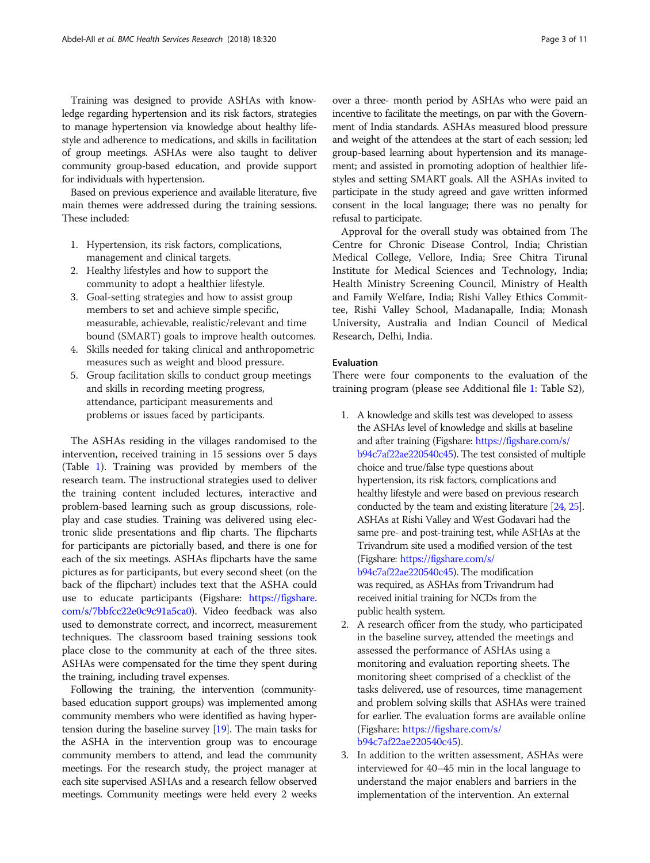Training was designed to provide ASHAs with knowledge regarding hypertension and its risk factors, strategies to manage hypertension via knowledge about healthy lifestyle and adherence to medications, and skills in facilitation of group meetings. ASHAs were also taught to deliver community group-based education, and provide support for individuals with hypertension.

Based on previous experience and available literature, five main themes were addressed during the training sessions. These included:

- 1. Hypertension, its risk factors, complications, management and clinical targets.
- 2. Healthy lifestyles and how to support the community to adopt a healthier lifestyle.
- 3. Goal-setting strategies and how to assist group members to set and achieve simple specific, measurable, achievable, realistic/relevant and time bound (SMART) goals to improve health outcomes.
- 4. Skills needed for taking clinical and anthropometric measures such as weight and blood pressure.
- 5. Group facilitation skills to conduct group meetings and skills in recording meeting progress, attendance, participant measurements and problems or issues faced by participants.

The ASHAs residing in the villages randomised to the intervention, received training in 15 sessions over 5 days (Table [1](#page-3-0)). Training was provided by members of the research team. The instructional strategies used to deliver the training content included lectures, interactive and problem-based learning such as group discussions, roleplay and case studies. Training was delivered using electronic slide presentations and flip charts. The flipcharts for participants are pictorially based, and there is one for each of the six meetings. ASHAs flipcharts have the same pictures as for participants, but every second sheet (on the back of the flipchart) includes text that the ASHA could use to educate participants (Figshare: [https://figshare.](https://figshare.com/s/7bbfcc22e0c9c91a5ca0) [com/s/7bbfcc22e0c9c91a5ca0](https://figshare.com/s/7bbfcc22e0c9c91a5ca0)). Video feedback was also used to demonstrate correct, and incorrect, measurement techniques. The classroom based training sessions took place close to the community at each of the three sites. ASHAs were compensated for the time they spent during the training, including travel expenses.

Following the training, the intervention (communitybased education support groups) was implemented among community members who were identified as having hypertension during the baseline survey [\[19](#page-9-0)]. The main tasks for the ASHA in the intervention group was to encourage community members to attend, and lead the community meetings. For the research study, the project manager at each site supervised ASHAs and a research fellow observed meetings. Community meetings were held every 2 weeks

over a three- month period by ASHAs who were paid an incentive to facilitate the meetings, on par with the Government of India standards. ASHAs measured blood pressure and weight of the attendees at the start of each session; led group-based learning about hypertension and its management; and assisted in promoting adoption of healthier lifestyles and setting SMART goals. All the ASHAs invited to participate in the study agreed and gave written informed consent in the local language; there was no penalty for refusal to participate.

Approval for the overall study was obtained from The Centre for Chronic Disease Control, India; Christian Medical College, Vellore, India; Sree Chitra Tirunal Institute for Medical Sciences and Technology, India; Health Ministry Screening Council, Ministry of Health and Family Welfare, India; Rishi Valley Ethics Committee, Rishi Valley School, Madanapalle, India; Monash University, Australia and Indian Council of Medical Research, Delhi, India.

## Evaluation

There were four components to the evaluation of the training program (please see Additional file [1](#page-8-0): Table S2),

- 1. A knowledge and skills test was developed to assess the ASHAs level of knowledge and skills at baseline and after training (Figshare: [https://figshare.com/s/](https://figshare.com/s/b94c7af22ae220540c45) [b94c7af22ae220540c45](https://figshare.com/s/b94c7af22ae220540c45)). The test consisted of multiple choice and true/false type questions about hypertension, its risk factors, complications and healthy lifestyle and were based on previous research conducted by the team and existing literature [[24,](#page-9-0) [25\]](#page-9-0). ASHAs at Rishi Valley and West Godavari had the same pre- and post-training test, while ASHAs at the Trivandrum site used a modified version of the test (Figshare: [https://figshare.com/s/](https://figshare.com/s/b94c7af22ae220540c45) [b94c7af22ae220540c45](https://figshare.com/s/b94c7af22ae220540c45)). The modification was required, as ASHAs from Trivandrum had received initial training for NCDs from the
- public health system. 2. A research officer from the study, who participated in the baseline survey, attended the meetings and assessed the performance of ASHAs using a monitoring and evaluation reporting sheets. The monitoring sheet comprised of a checklist of the tasks delivered, use of resources, time management and problem solving skills that ASHAs were trained for earlier. The evaluation forms are available online (Figshare: [https://figshare.com/s/](https://figshare.com/s/b94c7af22ae220540c45) [b94c7af22ae220540c45](https://figshare.com/s/b94c7af22ae220540c45)).
- 3. In addition to the written assessment, ASHAs were interviewed for 40–45 min in the local language to understand the major enablers and barriers in the implementation of the intervention. An external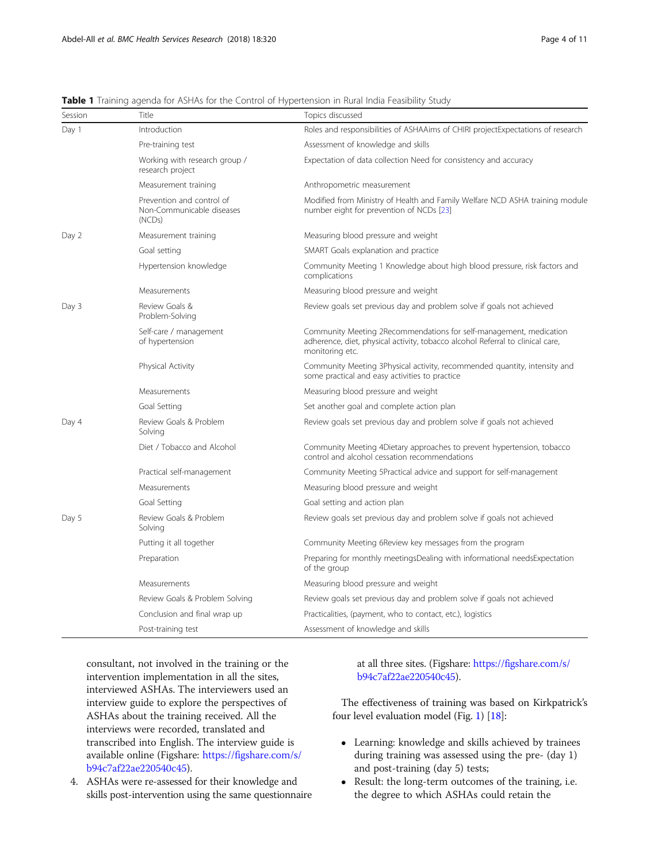| Session | Title                                                            | Topics discussed                                                                                                                                                        |  |  |  |
|---------|------------------------------------------------------------------|-------------------------------------------------------------------------------------------------------------------------------------------------------------------------|--|--|--|
| Day 1   | Introduction                                                     | Roles and responsibilities of ASHAAims of CHIRI projectExpectations of research                                                                                         |  |  |  |
|         | Pre-training test                                                | Assessment of knowledge and skills                                                                                                                                      |  |  |  |
|         | Working with research group /<br>research project                | Expectation of data collection Need for consistency and accuracy                                                                                                        |  |  |  |
|         | Measurement training                                             | Anthropometric measurement                                                                                                                                              |  |  |  |
|         | Prevention and control of<br>Non-Communicable diseases<br>(NCDs) | Modified from Ministry of Health and Family Welfare NCD ASHA training module<br>number eight for prevention of NCDs [23]                                                |  |  |  |
| Day 2   | Measurement training                                             | Measuring blood pressure and weight                                                                                                                                     |  |  |  |
|         | Goal setting                                                     | SMART Goals explanation and practice                                                                                                                                    |  |  |  |
|         | Hypertension knowledge                                           | Community Meeting 1 Knowledge about high blood pressure, risk factors and<br>complications                                                                              |  |  |  |
|         | Measurements                                                     | Measuring blood pressure and weight                                                                                                                                     |  |  |  |
| Day 3   | Review Goals &<br>Problem-Solving                                | Review goals set previous day and problem solve if goals not achieved                                                                                                   |  |  |  |
|         | Self-care / management<br>of hypertension                        | Community Meeting 2Recommendations for self-management, medication<br>adherence, diet, physical activity, tobacco alcohol Referral to clinical care,<br>monitoring etc. |  |  |  |
|         | Physical Activity                                                | Community Meeting 3Physical activity, recommended quantity, intensity and<br>some practical and easy activities to practice                                             |  |  |  |
|         | Measurements                                                     | Measuring blood pressure and weight                                                                                                                                     |  |  |  |
|         | Goal Setting                                                     | Set another goal and complete action plan                                                                                                                               |  |  |  |
| Day 4   | Review Goals & Problem<br>Solving                                | Review goals set previous day and problem solve if goals not achieved                                                                                                   |  |  |  |
|         | Diet / Tobacco and Alcohol                                       | Community Meeting 4Dietary approaches to prevent hypertension, tobacco<br>control and alcohol cessation recommendations                                                 |  |  |  |
|         | Practical self-management                                        | Community Meeting 5Practical advice and support for self-management                                                                                                     |  |  |  |
|         | Measurements                                                     | Measuring blood pressure and weight                                                                                                                                     |  |  |  |
|         | Goal Setting                                                     | Goal setting and action plan                                                                                                                                            |  |  |  |
| Day 5   | Review Goals & Problem<br>Solving                                | Review goals set previous day and problem solve if goals not achieved                                                                                                   |  |  |  |
|         | Putting it all together                                          | Community Meeting 6Review key messages from the program                                                                                                                 |  |  |  |
|         | Preparation                                                      | Preparing for monthly meetingsDealing with informational needsExpectation<br>of the group                                                                               |  |  |  |
|         | Measurements                                                     | Measuring blood pressure and weight                                                                                                                                     |  |  |  |
|         | Review Goals & Problem Solving                                   | Review goals set previous day and problem solve if goals not achieved                                                                                                   |  |  |  |
|         | Conclusion and final wrap up                                     | Practicalities, (payment, who to contact, etc.), logistics                                                                                                              |  |  |  |
|         | Post-training test                                               | Assessment of knowledge and skills                                                                                                                                      |  |  |  |

<span id="page-3-0"></span>**Table 1** Training agenda for ASHAs for the Control of Hypertension in Rural India Feasibility Study

consultant, not involved in the training or the intervention implementation in all the sites, interviewed ASHAs. The interviewers used an interview guide to explore the perspectives of ASHAs about the training received. All the interviews were recorded, translated and transcribed into English. The interview guide is available online (Figshare: [https://figshare.com/s/](https://figshare.com/s/b94c7af22ae220540c45) [b94c7af22ae220540c45](https://figshare.com/s/b94c7af22ae220540c45)).

4. ASHAs were re-assessed for their knowledge and skills post-intervention using the same questionnaire at all three sites. (Figshare: [https://figshare.com/s/](https://figshare.com/s/b94c7af22ae220540c45) [b94c7af22ae220540c45](https://figshare.com/s/b94c7af22ae220540c45)).

The effectiveness of training was based on Kirkpatrick's four level evaluation model (Fig. [1\)](#page-4-0) [[18](#page-9-0)]:

- Learning: knowledge and skills achieved by trainees during training was assessed using the pre- (day 1) and post-training (day 5) tests;
- Result: the long-term outcomes of the training, i.e. the degree to which ASHAs could retain the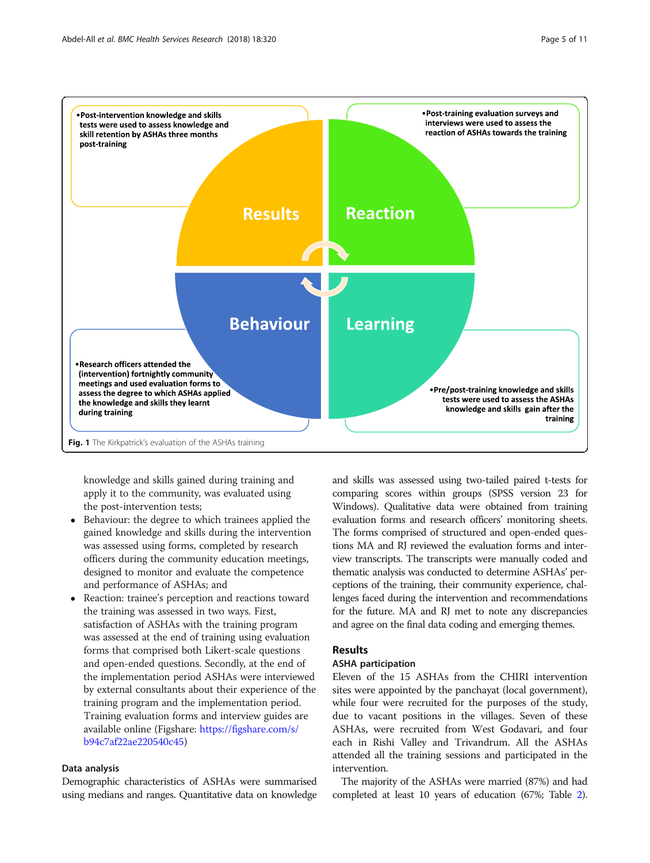<span id="page-4-0"></span>

knowledge and skills gained during training and apply it to the community, was evaluated using the post-intervention tests;

- Behaviour: the degree to which trainees applied the gained knowledge and skills during the intervention was assessed using forms, completed by research officers during the community education meetings, designed to monitor and evaluate the competence and performance of ASHAs; and
- Reaction: trainee's perception and reactions toward the training was assessed in two ways. First, satisfaction of ASHAs with the training program was assessed at the end of training using evaluation forms that comprised both Likert-scale questions and open-ended questions. Secondly, at the end of the implementation period ASHAs were interviewed by external consultants about their experience of the training program and the implementation period. Training evaluation forms and interview guides are available online (Figshare: [https://figshare.com/s/](https://figshare.com/s/b94c7af22ae220540c45) [b94c7af22ae220540c45\)](https://figshare.com/s/b94c7af22ae220540c45)

## Data analysis

Demographic characteristics of ASHAs were summarised using medians and ranges. Quantitative data on knowledge

and skills was assessed using two-tailed paired t-tests for comparing scores within groups (SPSS version 23 for Windows). Qualitative data were obtained from training evaluation forms and research officers' monitoring sheets. The forms comprised of structured and open-ended questions MA and RJ reviewed the evaluation forms and interview transcripts. The transcripts were manually coded and thematic analysis was conducted to determine ASHAs' perceptions of the training, their community experience, challenges faced during the intervention and recommendations for the future. MA and RJ met to note any discrepancies and agree on the final data coding and emerging themes.

## Results

## ASHA participation

Eleven of the 15 ASHAs from the CHIRI intervention sites were appointed by the panchayat (local government), while four were recruited for the purposes of the study, due to vacant positions in the villages. Seven of these ASHAs, were recruited from West Godavari, and four each in Rishi Valley and Trivandrum. All the ASHAs attended all the training sessions and participated in the intervention.

The majority of the ASHAs were married (87%) and had completed at least 10 years of education (67%; Table [2](#page-5-0)).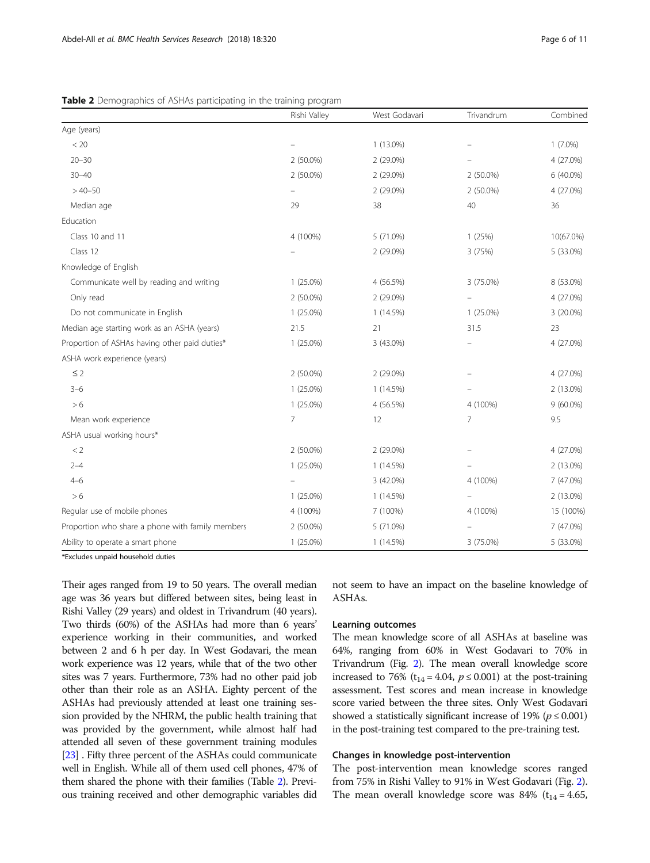|                                                  | Rishi Valley | West Godavari | Trivandrum  | Combined    |
|--------------------------------------------------|--------------|---------------|-------------|-------------|
| Age (years)                                      |              |               |             |             |
| $< 20\,$                                         |              | 1 (13.0%)     |             | $1(7.0\%)$  |
| $20 - 30$                                        | 2 (50.0%)    | 2 (29.0%)     |             | 4 (27.0%)   |
| $30 - 40$                                        | 2 (50.0%)    | 2 (29.0%)     | 2 (50.0%)   | 6 (40.0%)   |
| $>40 - 50$                                       |              | 2 (29.0%)     | 2 (50.0%)   | 4 (27.0%)   |
| Median age                                       | 29           | 38            | 40          | 36          |
| Education                                        |              |               |             |             |
| Class 10 and 11                                  | 4 (100%)     | 5 (71.0%)     | 1(25%)      | 10(67.0%)   |
| Class 12                                         |              | 2 (29.0%)     | 3 (75%)     | 5 (33.0%)   |
| Knowledge of English                             |              |               |             |             |
| Communicate well by reading and writing          | $1(25.0\%)$  | 4 (56.5%)     | 3 (75.0%)   | 8 (53.0%)   |
| Only read                                        | 2 (50.0%)    | 2 (29.0%)     |             | 4 (27.0%)   |
| Do not communicate in English                    | $1(25.0\%)$  | 1 (14.5%)     | $1(25.0\%)$ | 3 (20.0%)   |
| Median age starting work as an ASHA (years)      | 21.5         | 21            | 31.5        | 23          |
| Proportion of ASHAs having other paid duties*    | $1(25.0\%)$  | 3 (43.0%)     |             | 4 (27.0%)   |
| ASHA work experience (years)                     |              |               |             |             |
| $\leq$ 2                                         | $2(50.0\%)$  | 2 (29.0%)     |             | 4 (27.0%)   |
| $3 - 6$                                          | $1(25.0\%)$  | 1(14.5%)      |             | 2 (13.0%)   |
| > 6                                              | $1(25.0\%)$  | 4 (56.5%)     | 4 (100%)    | $9(60.0\%)$ |
| Mean work experience                             | 7            | 12            | 7           | 9.5         |
| ASHA usual working hours*                        |              |               |             |             |
| < 2                                              | 2 (50.0%)    | 2 (29.0%)     |             | 4 (27.0%)   |
| $2 - 4$                                          | $1(25.0\%)$  | 1(14.5%)      |             | 2 (13.0%)   |
| $4 - 6$                                          |              | 3 (42.0%)     | 4 (100%)    | 7 (47.0%)   |
| > 6                                              | $1(25.0\%)$  | 1(14.5%)      |             | 2 (13.0%)   |
| Regular use of mobile phones                     | 4 (100%)     | 7 (100%)      | 4 (100%)    | 15 (100%)   |
| Proportion who share a phone with family members | $2(50.0\%)$  | 5 (71.0%)     |             | 7 (47.0%)   |
| Ability to operate a smart phone                 | $1(25.0\%)$  | 1(14.5%)      | 3 (75.0%)   | 5 (33.0%)   |

<span id="page-5-0"></span>Table 2 Demographics of ASHAs participating in the training program

\*Excludes unpaid household duties

Their ages ranged from 19 to 50 years. The overall median age was 36 years but differed between sites, being least in Rishi Valley (29 years) and oldest in Trivandrum (40 years). Two thirds (60%) of the ASHAs had more than 6 years' experience working in their communities, and worked between 2 and 6 h per day. In West Godavari, the mean work experience was 12 years, while that of the two other sites was 7 years. Furthermore, 73% had no other paid job other than their role as an ASHA. Eighty percent of the ASHAs had previously attended at least one training session provided by the NHRM, the public health training that was provided by the government, while almost half had attended all seven of these government training modules [[23](#page-9-0)] . Fifty three percent of the ASHAs could communicate well in English. While all of them used cell phones, 47% of them shared the phone with their families (Table 2). Previous training received and other demographic variables did not seem to have an impact on the baseline knowledge of ASHAs.

#### Learning outcomes

The mean knowledge score of all ASHAs at baseline was 64%, ranging from 60% in West Godavari to 70% in Trivandrum (Fig. [2\)](#page-6-0). The mean overall knowledge score increased to 76% ( $t_{14} = 4.04$ ,  $p \le 0.001$ ) at the post-training assessment. Test scores and mean increase in knowledge score varied between the three sites. Only West Godavari showed a statistically significant increase of 19% ( $p \le 0.001$ ) in the post-training test compared to the pre-training test.

## Changes in knowledge post-intervention

The post-intervention mean knowledge scores ranged from 75% in Rishi Valley to 91% in West Godavari (Fig. [2](#page-6-0)). The mean overall knowledge score was 84%  $(t_{14} = 4.65,$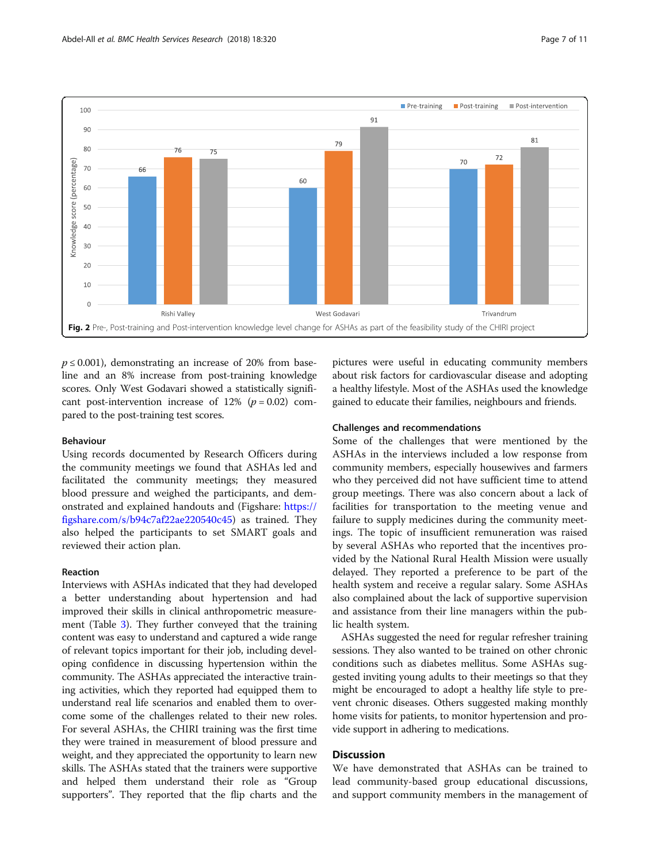<span id="page-6-0"></span>

 $p \leq 0.001$ ), demonstrating an increase of 20% from baseline and an 8% increase from post-training knowledge scores. Only West Godavari showed a statistically significant post-intervention increase of 12% ( $p = 0.02$ ) compared to the post-training test scores.

## Behaviour

Using records documented by Research Officers during the community meetings we found that ASHAs led and facilitated the community meetings; they measured blood pressure and weighed the participants, and demonstrated and explained handouts and (Figshare: [https://](https://figshare.com/s/b94c7af22ae220540c45) [figshare.com/s/b94c7af22ae220540c45\)](https://figshare.com/s/b94c7af22ae220540c45) as trained. They also helped the participants to set SMART goals and reviewed their action plan.

#### Reaction

Interviews with ASHAs indicated that they had developed a better understanding about hypertension and had improved their skills in clinical anthropometric measurement (Table [3\)](#page-7-0). They further conveyed that the training content was easy to understand and captured a wide range of relevant topics important for their job, including developing confidence in discussing hypertension within the community. The ASHAs appreciated the interactive training activities, which they reported had equipped them to understand real life scenarios and enabled them to overcome some of the challenges related to their new roles. For several ASHAs, the CHIRI training was the first time they were trained in measurement of blood pressure and weight, and they appreciated the opportunity to learn new skills. The ASHAs stated that the trainers were supportive and helped them understand their role as "Group supporters". They reported that the flip charts and the

pictures were useful in educating community members about risk factors for cardiovascular disease and adopting a healthy lifestyle. Most of the ASHAs used the knowledge gained to educate their families, neighbours and friends.

## Challenges and recommendations

Some of the challenges that were mentioned by the ASHAs in the interviews included a low response from community members, especially housewives and farmers who they perceived did not have sufficient time to attend group meetings. There was also concern about a lack of facilities for transportation to the meeting venue and failure to supply medicines during the community meetings. The topic of insufficient remuneration was raised by several ASHAs who reported that the incentives provided by the National Rural Health Mission were usually delayed. They reported a preference to be part of the health system and receive a regular salary. Some ASHAs also complained about the lack of supportive supervision and assistance from their line managers within the public health system.

ASHAs suggested the need for regular refresher training sessions. They also wanted to be trained on other chronic conditions such as diabetes mellitus. Some ASHAs suggested inviting young adults to their meetings so that they might be encouraged to adopt a healthy life style to prevent chronic diseases. Others suggested making monthly home visits for patients, to monitor hypertension and provide support in adhering to medications.

## **Discussion**

We have demonstrated that ASHAs can be trained to lead community-based group educational discussions, and support community members in the management of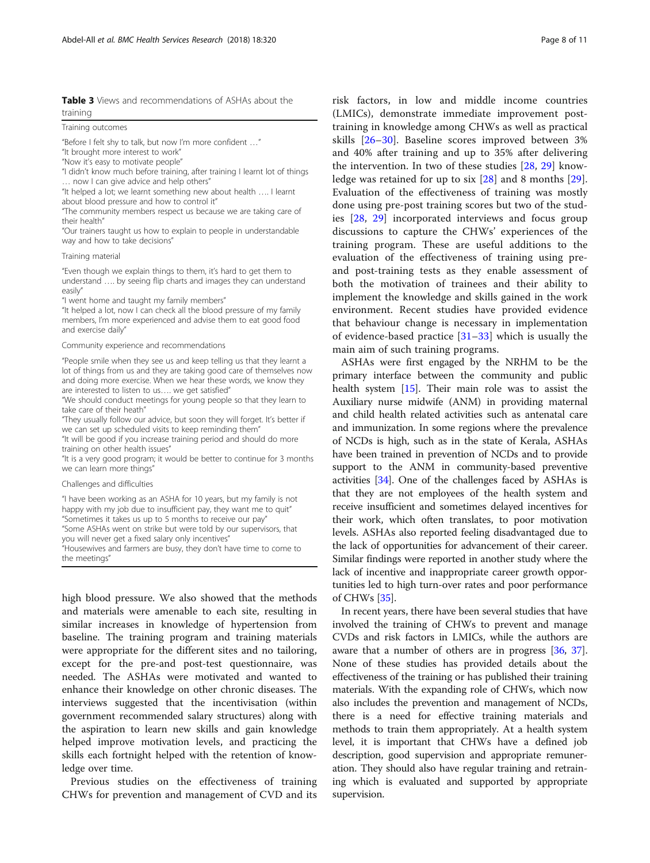<span id="page-7-0"></span>

|          |  | <b>Table 3</b> Views and recommendations of ASHAs about the |  |  |
|----------|--|-------------------------------------------------------------|--|--|
| training |  |                                                             |  |  |

Training outcomes

"Before I felt shy to talk, but now I'm more confident …"

"It brought more interest to work"

"Now it's easy to motivate people"

"I didn't know much before training, after training I learnt lot of things … now I can give advice and help others"

"It helped a lot; we learnt something new about health …. I learnt about blood pressure and how to control it"

"The community members respect us because we are taking care of their health"

"Our trainers taught us how to explain to people in understandable way and how to take decisions"

#### Training material

"Even though we explain things to them, it's hard to get them to understand …. by seeing flip charts and images they can understand easily"

"I went home and taught my family members"

"It helped a lot, now I can check all the blood pressure of my family members, I'm more experienced and advise them to eat good food and exercise daily"

Community experience and recommendations

"People smile when they see us and keep telling us that they learnt a lot of things from us and they are taking good care of themselves now and doing more exercise. When we hear these words, we know they are interested to listen to us…. we get satisfied"

"We should conduct meetings for young people so that they learn to take care of their heath"

"They usually follow our advice, but soon they will forget. It's better if we can set up scheduled visits to keep reminding them"

"It will be good if you increase training period and should do more training on other health issues"

"It is a very good program; it would be better to continue for 3 months we can learn more things"

#### Challenges and difficulties

"I have been working as an ASHA for 10 years, but my family is not happy with my job due to insufficient pay, they want me to quit" "Sometimes it takes us up to 5 months to receive our pay" "Some ASHAs went on strike but were told by our supervisors, that you will never get a fixed salary only incentives" "Housewives and farmers are busy, they don't have time to come to the meetings"

high blood pressure. We also showed that the methods and materials were amenable to each site, resulting in similar increases in knowledge of hypertension from baseline. The training program and training materials were appropriate for the different sites and no tailoring, except for the pre-and post-test questionnaire, was needed. The ASHAs were motivated and wanted to enhance their knowledge on other chronic diseases. The interviews suggested that the incentivisation (within government recommended salary structures) along with the aspiration to learn new skills and gain knowledge helped improve motivation levels, and practicing the skills each fortnight helped with the retention of knowledge over time.

Previous studies on the effectiveness of training CHWs for prevention and management of CVD and its

risk factors, in low and middle income countries (LMICs), demonstrate immediate improvement posttraining in knowledge among CHWs as well as practical skills [\[26](#page-9-0)–[30](#page-9-0)]. Baseline scores improved between 3% and 40% after training and up to 35% after delivering the intervention. In two of these studies [\[28](#page-9-0), [29\]](#page-9-0) knowledge was retained for up to six [[28\]](#page-9-0) and 8 months [\[29](#page-9-0)]. Evaluation of the effectiveness of training was mostly done using pre-post training scores but two of the studies [\[28](#page-9-0), [29\]](#page-9-0) incorporated interviews and focus group discussions to capture the CHWs' experiences of the training program. These are useful additions to the evaluation of the effectiveness of training using preand post-training tests as they enable assessment of both the motivation of trainees and their ability to implement the knowledge and skills gained in the work environment. Recent studies have provided evidence that behaviour change is necessary in implementation of evidence-based practice [\[31](#page-9-0)–[33](#page-10-0)] which is usually the main aim of such training programs.

ASHAs were first engaged by the NRHM to be the primary interface between the community and public health system [[15](#page-9-0)]. Their main role was to assist the Auxiliary nurse midwife (ANM) in providing maternal and child health related activities such as antenatal care and immunization. In some regions where the prevalence of NCDs is high, such as in the state of Kerala, ASHAs have been trained in prevention of NCDs and to provide support to the ANM in community-based preventive activities [\[34](#page-10-0)]. One of the challenges faced by ASHAs is that they are not employees of the health system and receive insufficient and sometimes delayed incentives for their work, which often translates, to poor motivation levels. ASHAs also reported feeling disadvantaged due to the lack of opportunities for advancement of their career. Similar findings were reported in another study where the lack of incentive and inappropriate career growth opportunities led to high turn-over rates and poor performance of CHWs [\[35](#page-10-0)].

In recent years, there have been several studies that have involved the training of CHWs to prevent and manage CVDs and risk factors in LMICs, while the authors are aware that a number of others are in progress [[36](#page-10-0), [37](#page-10-0)]. None of these studies has provided details about the effectiveness of the training or has published their training materials. With the expanding role of CHWs, which now also includes the prevention and management of NCDs, there is a need for effective training materials and methods to train them appropriately. At a health system level, it is important that CHWs have a defined job description, good supervision and appropriate remuneration. They should also have regular training and retraining which is evaluated and supported by appropriate supervision.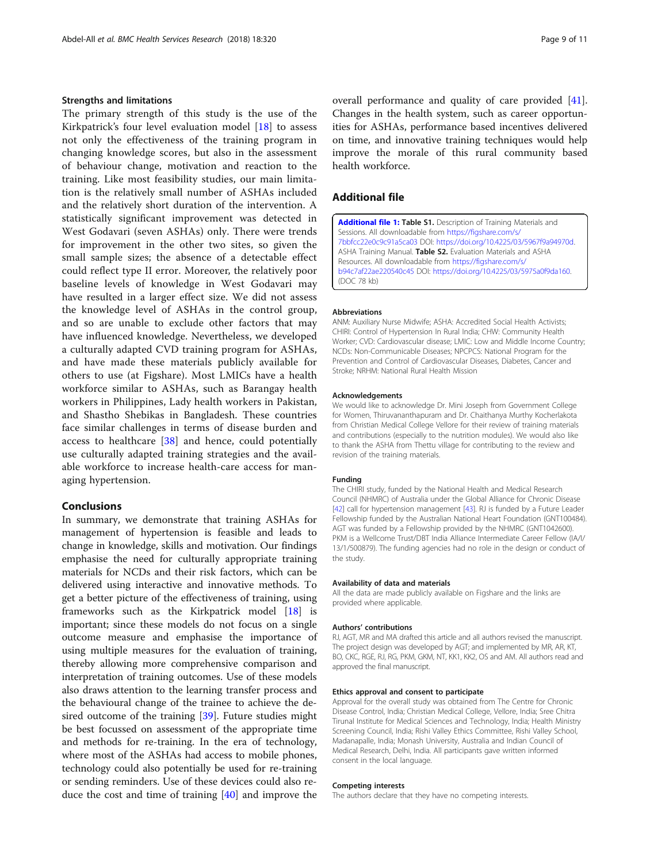## <span id="page-8-0"></span>Strengths and limitations

The primary strength of this study is the use of the Kirkpatrick's four level evaluation model [[18\]](#page-9-0) to assess not only the effectiveness of the training program in changing knowledge scores, but also in the assessment of behaviour change, motivation and reaction to the training. Like most feasibility studies, our main limitation is the relatively small number of ASHAs included and the relatively short duration of the intervention. A statistically significant improvement was detected in West Godavari (seven ASHAs) only. There were trends for improvement in the other two sites, so given the small sample sizes; the absence of a detectable effect could reflect type II error. Moreover, the relatively poor baseline levels of knowledge in West Godavari may have resulted in a larger effect size. We did not assess the knowledge level of ASHAs in the control group, and so are unable to exclude other factors that may have influenced knowledge. Nevertheless, we developed a culturally adapted CVD training program for ASHAs, and have made these materials publicly available for others to use (at Figshare). Most LMICs have a health workforce similar to ASHAs, such as Barangay health workers in Philippines, Lady health workers in Pakistan, and Shastho Shebikas in Bangladesh. These countries face similar challenges in terms of disease burden and access to healthcare [[38](#page-10-0)] and hence, could potentially use culturally adapted training strategies and the available workforce to increase health-care access for managing hypertension.

## Conclusions

In summary, we demonstrate that training ASHAs for management of hypertension is feasible and leads to change in knowledge, skills and motivation. Our findings emphasise the need for culturally appropriate training materials for NCDs and their risk factors, which can be delivered using interactive and innovative methods. To get a better picture of the effectiveness of training, using frameworks such as the Kirkpatrick model [[18\]](#page-9-0) is important; since these models do not focus on a single outcome measure and emphasise the importance of using multiple measures for the evaluation of training, thereby allowing more comprehensive comparison and interpretation of training outcomes. Use of these models also draws attention to the learning transfer process and the behavioural change of the trainee to achieve the desired outcome of the training [[39](#page-10-0)]. Future studies might be best focussed on assessment of the appropriate time and methods for re-training. In the era of technology, where most of the ASHAs had access to mobile phones, technology could also potentially be used for re-training or sending reminders. Use of these devices could also reduce the cost and time of training [[40\]](#page-10-0) and improve the

overall performance and quality of care provided [\[41](#page-10-0)]. Changes in the health system, such as career opportunities for ASHAs, performance based incentives delivered on time, and innovative training techniques would help improve the morale of this rural community based health workforce.

## Additional file

[Additional file 1:](https://doi.org/10.1186/s12913-018-3140-8) Table S1. Description of Training Materials and Sessions. All downloadable from [https://figshare.com/s/](https://figshare.com/s/7bbfcc22e0c9c91a5ca0) [7bbfcc22e0c9c91a5ca03](https://figshare.com/s/7bbfcc22e0c9c91a5ca0) DOI: [https://doi.org/10.4225/03/5967f9a94970d.](https://doi.org/10.4225/03/5967f9a94970d) ASHA Training Manual. Table S2. Evaluation Materials and ASHA Resources. All downloadable from [https://figshare.com/s/](https://figshare.com/s/b94c7af22ae220540c45) [b94c7af22ae220540c45](https://figshare.com/s/b94c7af22ae220540c45) DOI: [https://doi.org/10.4225/03/5975a0f9da160.](https://doi.org/10.4225/03/5975a0f9da160) (DOC 78 kb)

#### Abbreviations

ANM: Auxiliary Nurse Midwife; ASHA: Accredited Social Health Activists; CHIRI: Control of Hypertension In Rural India; CHW: Community Health Worker; CVD: Cardiovascular disease; LMIC: Low and Middle Income Country; NCDs: Non-Communicable Diseases; NPCPCS: National Program for the Prevention and Control of Cardiovascular Diseases, Diabetes, Cancer and Stroke; NRHM: National Rural Health Mission

#### Acknowledgements

We would like to acknowledge Dr. Mini Joseph from Government College for Women, Thiruvananthapuram and Dr. Chaithanya Murthy Kocherlakota from Christian Medical College Vellore for their review of training materials and contributions (especially to the nutrition modules). We would also like to thank the ASHA from Thettu village for contributing to the review and revision of the training materials.

#### Funding

The CHIRI study, funded by the National Health and Medical Research Council (NHMRC) of Australia under the Global Alliance for Chronic Disease [[42\]](#page-10-0) call for hypertension management [[43\]](#page-10-0). RJ is funded by a Future Leader Fellowship funded by the Australian National Heart Foundation (GNT100484). AGT was funded by a Fellowship provided by the NHMRC (GNT1042600). PKM is a Wellcome Trust/DBT India Alliance Intermediate Career Fellow (IA/I/ 13/1/500879). The funding agencies had no role in the design or conduct of the study.

#### Availability of data and materials

All the data are made publicly available on Figshare and the links are provided where applicable.

#### Authors' contributions

RJ, AGT, MR and MA drafted this article and all authors revised the manuscript. The project design was developed by AGT; and implemented by MR, AR, KT, BO, CKC, RGE, RJ, RG, PKM, GKM, NT, KK1, KK2, OS and AM. All authors read and approved the final manuscript.

#### Ethics approval and consent to participate

Approval for the overall study was obtained from The Centre for Chronic Disease Control, India; Christian Medical College, Vellore, India; Sree Chitra Tirunal Institute for Medical Sciences and Technology, India; Health Ministry Screening Council, India; Rishi Valley Ethics Committee, Rishi Valley School, Madanapalle, India; Monash University, Australia and Indian Council of Medical Research, Delhi, India. All participants gave written informed consent in the local language.

#### Competing interests

The authors declare that they have no competing interests.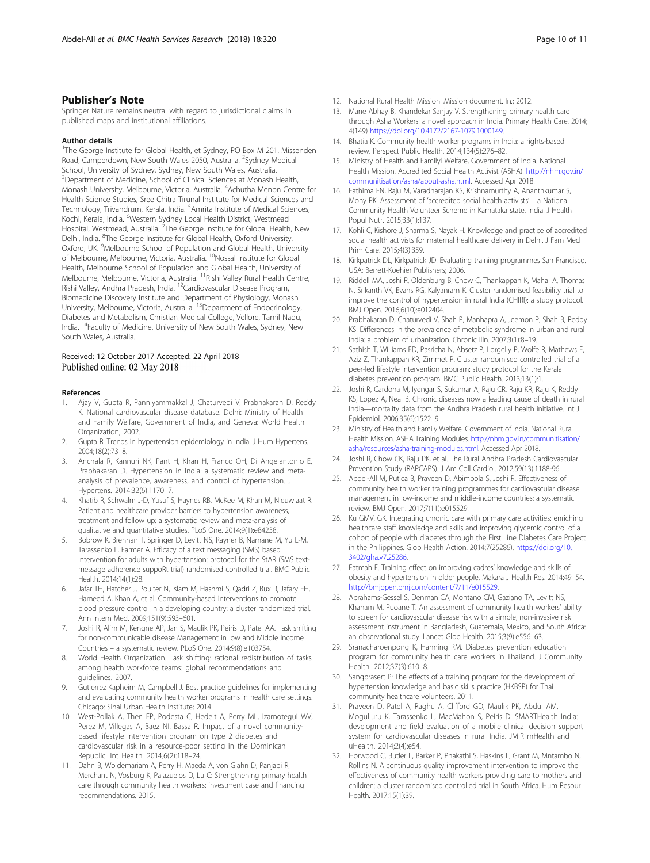## <span id="page-9-0"></span>Publisher's Note

Springer Nature remains neutral with regard to jurisdictional claims in published maps and institutional affiliations.

#### Author details

<sup>1</sup>The George Institute for Global Health, et Sydney, PO Box M 201, Missenden Road, Camperdown, New South Wales 2050, Australia. <sup>2</sup>Sydney Medical School, University of Sydney, Sydney, New South Wales, Australia. <sup>3</sup>Department of Medicine, School of Clinical Sciences at Monash Health, Monash University, Melbourne, Victoria, Australia. <sup>4</sup>Achutha Menon Centre for Health Science Studies, Sree Chitra Tirunal Institute for Medical Sciences and Technology, Trivandrum, Kerala, India. <sup>5</sup>Amrita Institute of Medical Sciences, Kochi, Kerala, India. <sup>6</sup>Western Sydney Local Health District, Westmead Hospital, Westmead, Australia. <sup>7</sup>The George Institute for Global Health, New Delhi, India. <sup>8</sup>The George Institute for Global Health, Oxford University, Oxford, UK. <sup>9</sup>Melbourne School of Population and Global Health, University of Melbourne, Melbourne, Victoria, Australia. 10Nossal Institute for Global Health, Melbourne School of Population and Global Health, University of Melbourne, Melbourne, Victoria, Australia. 11Rishi Valley Rural Health Centre, Rishi Valley, Andhra Pradesh, India. 12Cardiovascular Disease Program, Biomedicine Discovery Institute and Department of Physiology, Monash University, Melbourne, Victoria, Australia. 13Department of Endocrinology, Diabetes and Metabolism, Christian Medical College, Vellore, Tamil Nadu, India. 14Faculty of Medicine, University of New South Wales, Sydney, New South Wales, Australia.

## Received: 12 October 2017 Accepted: 22 April 2018 Published online: 02 May 2018

#### References

- Ajay V, Gupta R, Panniyammakkal J, Chaturvedi V, Prabhakaran D, Reddy K. National cardiovascular disease database. Delhi: Ministry of Health and Family Welfare, Government of India, and Geneva: World Health Organization; 2002.
- 2. Gupta R. Trends in hypertension epidemiology in India. J Hum Hypertens. 2004;18(2):73–8.
- 3. Anchala R, Kannuri NK, Pant H, Khan H, Franco OH, Di Angelantonio E, Prabhakaran D. Hypertension in India: a systematic review and metaanalysis of prevalence, awareness, and control of hypertension. J Hypertens. 2014;32(6):1170–7.
- 4. Khatib R, Schwalm J-D, Yusuf S, Haynes RB, McKee M, Khan M, Nieuwlaat R. Patient and healthcare provider barriers to hypertension awareness, treatment and follow up: a systematic review and meta-analysis of qualitative and quantitative studies. PLoS One. 2014;9(1):e84238.
- 5. Bobrow K, Brennan T, Springer D, Levitt NS, Rayner B, Namane M, Yu L-M, Tarassenko L, Farmer A. Efficacy of a text messaging (SMS) based intervention for adults with hypertension: protocol for the StAR (SMS textmessage adherence suppoRt trial) randomised controlled trial. BMC Public Health. 2014;14(1):28.
- 6. Jafar TH, Hatcher J, Poulter N, Islam M, Hashmi S, Qadri Z, Bux R, Jafary FH, Hameed A, Khan A, et al. Community-based interventions to promote blood pressure control in a developing country: a cluster randomized trial. Ann Intern Med. 2009;151(9):593–601.
- 7. Joshi R, Alim M, Kengne AP, Jan S, Maulik PK, Peiris D, Patel AA. Task shifting for non-communicable disease Management in low and Middle Income Countries – a systematic review. PLoS One. 2014;9(8):e103754.
- 8. World Health Organization. Task shifting: rational redistribution of tasks among health workforce teams: global recommendations and guidelines. 2007.
- Gutierrez Kapheim M, Campbell J. Best practice guidelines for implementing and evaluating community health worker programs in health care settings. Chicago: Sinai Urban Health Institute; 2014.
- 10. West-Pollak A, Then EP, Podesta C, Hedelt A, Perry ML, Izarnotegui WV, Perez M, Villegas A, Baez NI, Bassa R. Impact of a novel communitybased lifestyle intervention program on type 2 diabetes and cardiovascular risk in a resource-poor setting in the Dominican Republic. Int Health. 2014;6(2):118–24.
- 11. Dahn B, Woldemariam A, Perry H, Maeda A, von Glahn D, Panjabi R, Merchant N, Vosburg K, Palazuelos D, Lu C: Strengthening primary health care through community health workers: investment case and financing recommendations. 2015.
- 12. National Rural Health Mission .Mission document. In.; 2012.
- 13. Mane Abhay B, Khandekar Sanjay V. Strengthening primary health care through Asha Workers: a novel approach in India. Primary Health Care. 2014; 4(149) [https://doi.org/10.4172/2167-1079.1000149.](https://doi.org/10.4172/2167-1079.1000149)
- 14. Bhatia K. Community health worker programs in India: a rights-based review. Perspect Public Health. 2014;134(5):276–82.
- 15. Ministry of Health and Familyl Welfare, Government of India. National Health Mission. Accredited Social Health Activist (ASHA). [http://nhm.gov.in/](http://nhm.gov.in/communitisation/asha/about-asha.html) [communitisation/asha/about-asha.html](http://nhm.gov.in/communitisation/asha/about-asha.html). Accessed Apr 2018.
- 16. Fathima FN, Raju M, Varadharajan KS, Krishnamurthy A, Ananthkumar S, Mony PK. Assessment of 'accredited social health activists'—a National Community Health Volunteer Scheme in Karnataka state, India. J Health Popul Nutr. 2015;33(1):137.
- 17. Kohli C, Kishore J, Sharma S, Nayak H. Knowledge and practice of accredited social health activists for maternal healthcare delivery in Delhi. J Fam Med Prim Care. 2015;4(3):359.
- 18. Kirkpatrick DL, Kirkpatrick JD. Evaluating training programmes San Francisco. USA: Berrett-Koehier Publishers; 2006.
- 19. Riddell MA, Joshi R, Oldenburg B, Chow C, Thankappan K, Mahal A, Thomas N, Srikanth VK, Evans RG, Kalyanram K. Cluster randomised feasibility trial to improve the control of hypertension in rural India (CHIRI): a study protocol. BMJ Open. 2016;6(10):e012404.
- 20. Prabhakaran D, Chaturvedi V, Shah P, Manhapra A, Jeemon P, Shah B, Reddy KS. Differences in the prevalence of metabolic syndrome in urban and rural India: a problem of urbanization. Chronic Illn. 2007;3(1):8–19.
- 21. Sathish T, Williams ED, Pasricha N, Absetz P, Lorgelly P, Wolfe R, Mathews E, Aziz Z, Thankappan KR, Zimmet P. Cluster randomised controlled trial of a peer-led lifestyle intervention program: study protocol for the Kerala diabetes prevention program. BMC Public Health. 2013;13(1):1.
- 22. Joshi R, Cardona M, Iyengar S, Sukumar A, Raju CR, Raju KR, Raju K, Reddy KS, Lopez A, Neal B. Chronic diseases now a leading cause of death in rural India—mortality data from the Andhra Pradesh rural health initiative. Int J Epidemiol. 2006;35(6):1522–9.
- 23. Ministry of Health and Family Welfare. Government of India. National Rural Health Mission. ASHA Training Modules. [http://nhm.gov.in/communitisation/](http://nhm.gov.in/communitisation/asha/resources/asha-training-modules.html) [asha/resources/asha-training-modules.html](http://nhm.gov.in/communitisation/asha/resources/asha-training-modules.html). Accessed Apr 2018.
- 24. Joshi R, Chow CK, Raju PK, et al. The Rural Andhra Pradesh Cardiovascular Prevention Study (RAPCAPS). J Am Coll Cardiol. 2012;59(13):1188-96.
- 25. Abdel-All M, Putica B, Praveen D, Abimbola S, Joshi R. Effectiveness of community health worker training programmes for cardiovascular disease management in low-income and middle-income countries: a systematic review. BMJ Open. 2017;7(11):e015529.
- 26. Ku GMV, GK. Integrating chronic care with primary care activities: enriching healthcare staff knowledge and skills and improving glycemic control of a cohort of people with diabetes through the First Line Diabetes Care Project in the Philippines. Glob Health Action. 2014;7(25286). [https://doi.org/10.](https://doi.org/10.3402/gha.v7.25286) [3402/gha.v7.25286.](https://doi.org/10.3402/gha.v7.25286)
- 27. Fatmah F. Training effect on improving cadres' knowledge and skills of obesity and hypertension in older people. Makara J Health Res. 2014:49–54. [http://bmjopen.bmj.com/content/7/11/e015529.](http://bmjopen.bmj.com/content/7/11/e015529)
- 28. Abrahams-Gessel S, Denman CA, Montano CM, Gaziano TA, Levitt NS, Khanam M, Puoane T. An assessment of community health workers' ability to screen for cardiovascular disease risk with a simple, non-invasive risk assessment instrument in Bangladesh, Guatemala, Mexico, and South Africa: an observational study. Lancet Glob Health. 2015;3(9):e556–63.
- 29. Sranacharoenpong K, Hanning RM. Diabetes prevention education program for community health care workers in Thailand. J Community Health. 2012;37(3):610–8.
- 30. Sangprasert P: The effects of a training program for the development of hypertension knowledge and basic skills practice (HKBSP) for Thai community healthcare volunteers. 2011.
- 31. Praveen D, Patel A, Raghu A, Clifford GD, Maulik PK, Abdul AM, Mogulluru K, Tarassenko L, MacMahon S, Peiris D. SMARTHealth India: development and field evaluation of a mobile clinical decision support system for cardiovascular diseases in rural India. JMIR mHealth and uHealth. 2014;2(4):e54.
- 32. Horwood C, Butler L, Barker P, Phakathi S, Haskins L, Grant M, Mntambo N, Rollins N. A continuous quality improvement intervention to improve the effectiveness of community health workers providing care to mothers and children: a cluster randomised controlled trial in South Africa. Hum Resour Health. 2017;15(1):39.